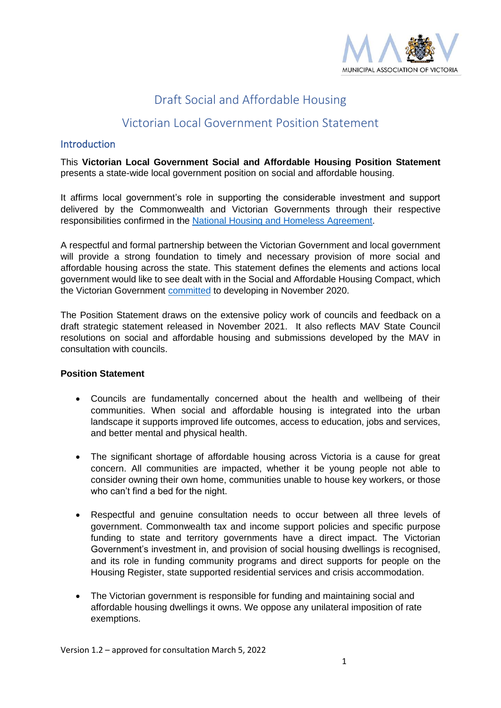

# Draft Social and Affordable Housing

# Victorian Local Government Position Statement

### **Introduction**

This **Victorian Local Government Social and Affordable Housing Position Statement** presents a state-wide local government position on social and affordable housing.

It affirms local government's role in supporting the considerable investment and support delivered by the Commonwealth and Victorian Governments through their respective responsibilities confirmed in the [National Housing and Homeless](https://www.dss.gov.au/housing-support-programs-services-homelessness/national-housing-and-homelessness-agreement) Agreement.

A respectful and formal partnership between the Victorian Government and local government will provide a strong foundation to timely and necessary provision of more social and affordable housing across the state. This statement defines the elements and actions local government would like to see dealt with in the Social and Affordable Housing Compact, which the Victorian Government [committed](https://www.vic.gov.au/sites/default/files/2020-11/hv_more_homes_for_more_Victorians_0.pdf) to developing in November 2020.

The Position Statement draws on the extensive policy work of councils and feedback on a draft strategic statement released in November 2021. It also reflects MAV State Council resolutions on social and affordable housing and submissions developed by the MAV in consultation with councils.

#### **Position Statement**

- Councils are fundamentally concerned about the health and wellbeing of their communities. When social and affordable housing is integrated into the urban landscape it supports improved life outcomes, access to education, jobs and services, and better mental and physical health.
- The significant shortage of affordable housing across Victoria is a cause for great concern. All communities are impacted, whether it be young people not able to consider owning their own home, communities unable to house key workers, or those who can't find a bed for the night.
- Respectful and genuine consultation needs to occur between all three levels of government. Commonwealth tax and income support policies and specific purpose funding to state and territory governments have a direct impact. The Victorian Government's investment in, and provision of social housing dwellings is recognised, and its role in funding community programs and direct supports for people on the Housing Register, state supported residential services and crisis accommodation.
- The Victorian government is responsible for funding and maintaining social and affordable housing dwellings it owns. We oppose any unilateral imposition of rate exemptions.

Version 1.2 – approved for consultation March 5, 2022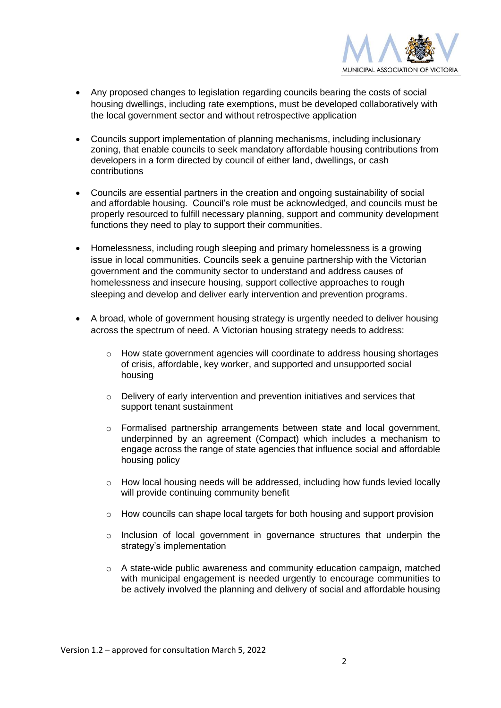

- Any proposed changes to legislation regarding councils bearing the costs of social housing dwellings, including rate exemptions, must be developed collaboratively with the local government sector and without retrospective application
- Councils support implementation of planning mechanisms, including inclusionary zoning, that enable councils to seek mandatory affordable housing contributions from developers in a form directed by council of either land, dwellings, or cash contributions
- Councils are essential partners in the creation and ongoing sustainability of social and affordable housing. Council's role must be acknowledged, and councils must be properly resourced to fulfill necessary planning, support and community development functions they need to play to support their communities.
- Homelessness, including rough sleeping and primary homelessness is a growing issue in local communities. Councils seek a genuine partnership with the Victorian government and the community sector to understand and address causes of homelessness and insecure housing, support collective approaches to rough sleeping and develop and deliver early intervention and prevention programs.
- A broad, whole of government housing strategy is urgently needed to deliver housing across the spectrum of need. A Victorian housing strategy needs to address:
	- $\circ$  How state government agencies will coordinate to address housing shortages of crisis, affordable, key worker, and supported and unsupported social housing
	- $\circ$  Delivery of early intervention and prevention initiatives and services that support tenant sustainment
	- o Formalised partnership arrangements between state and local government, underpinned by an agreement (Compact) which includes a mechanism to engage across the range of state agencies that influence social and affordable housing policy
	- o How local housing needs will be addressed, including how funds levied locally will provide continuing community benefit
	- $\circ$  How councils can shape local targets for both housing and support provision
	- $\circ$  Inclusion of local government in governance structures that underpin the strategy's implementation
	- $\circ$  A state-wide public awareness and community education campaign, matched with municipal engagement is needed urgently to encourage communities to be actively involved the planning and delivery of social and affordable housing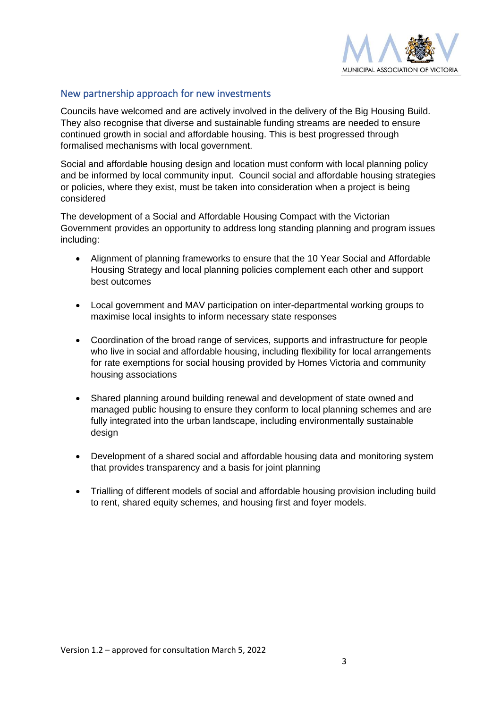

## New partnership approach for new investments

Councils have welcomed and are actively involved in the delivery of the Big Housing Build. They also recognise that diverse and sustainable funding streams are needed to ensure continued growth in social and affordable housing. This is best progressed through formalised mechanisms with local government.

Social and affordable housing design and location must conform with local planning policy and be informed by local community input. Council social and affordable housing strategies or policies, where they exist, must be taken into consideration when a project is being considered

The development of a Social and Affordable Housing Compact with the Victorian Government provides an opportunity to address long standing planning and program issues including:

- Alignment of planning frameworks to ensure that the 10 Year Social and Affordable Housing Strategy and local planning policies complement each other and support best outcomes
- Local government and MAV participation on inter-departmental working groups to maximise local insights to inform necessary state responses
- Coordination of the broad range of services, supports and infrastructure for people who live in social and affordable housing, including flexibility for local arrangements for rate exemptions for social housing provided by Homes Victoria and community housing associations
- Shared planning around building renewal and development of state owned and managed public housing to ensure they conform to local planning schemes and are fully integrated into the urban landscape, including environmentally sustainable design
- Development of a shared social and affordable housing data and monitoring system that provides transparency and a basis for joint planning
- Trialling of different models of social and affordable housing provision including build to rent, shared equity schemes, and housing first and foyer models.